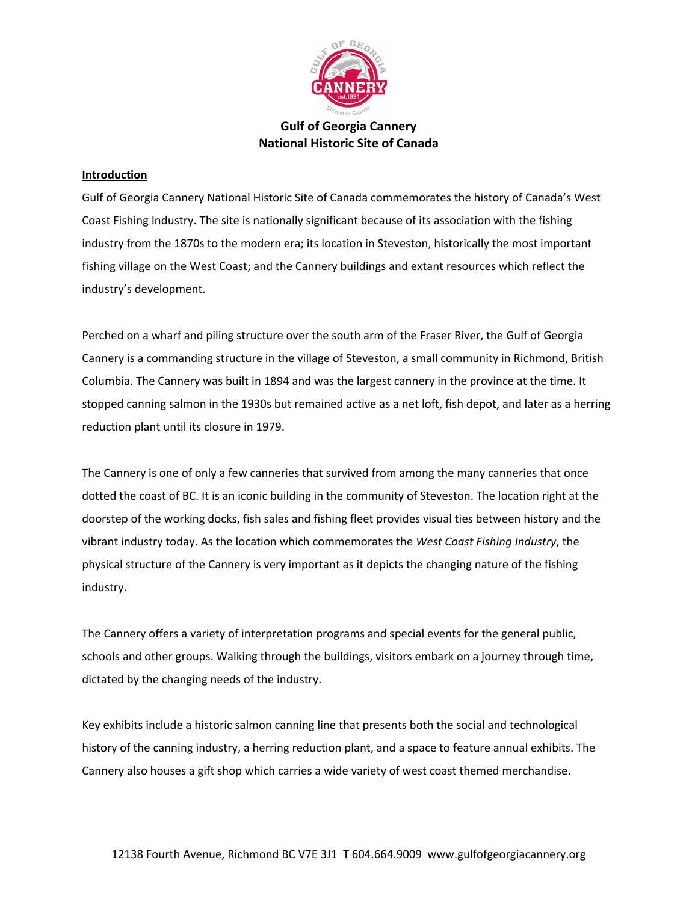

# **Gulf of Georgia Cannery National Historic Site of Canada**

# **Introduction**

Gulf of Georgia Cannery National Historic Site of Canada commemorates the history of Canada's West Coast Fishing Industry. The site is nationally significant because of its association with the fishing industry from the 1870s to the modern era; its location in Steveston, historically the most important fishing village on the West Coast; and the Cannery buildings and extant resources which reflect the industry's development.

Perched on a wharf and piling structure over the south arm of the Fraser River, the Gulf of Georgia Cannery is a commanding structure in the village of Steveston, a small community in Richmond, British Columbia. The Cannery was built in 1894 and was the largest cannery in the province at the time. It stopped canning salmon in the 1930s but remained active as a net loft, fish depot, and later as a herring reduction plant until its closure in 1979.

The Cannery is one of only a few canneries that survived from among the many canneries that once dotted the coast of BC. It is an iconic building in the community of Steveston. The location right at the doorstep of the working docks, fish sales and fishing fleet provides visual ties between history and the vibrant industry today. As the location which commemorates the *West Coast Fishing Industry*, the physical structure of the Cannery is very important as it depicts the changing nature of the fishing industry.

The Cannery offers a variety of interpretation programs and special events for the general public, schools and other groups. Walking through the buildings, visitors embark on a journey through time, dictated by the changing needs of the industry.

Key exhibits include a historic salmon canning line that presents both the social and technological history of the canning industry, a herring reduction plant, and a space to feature annual exhibits. The Cannery also houses a gift shop which carries a wide variety of west coast themed merchandise.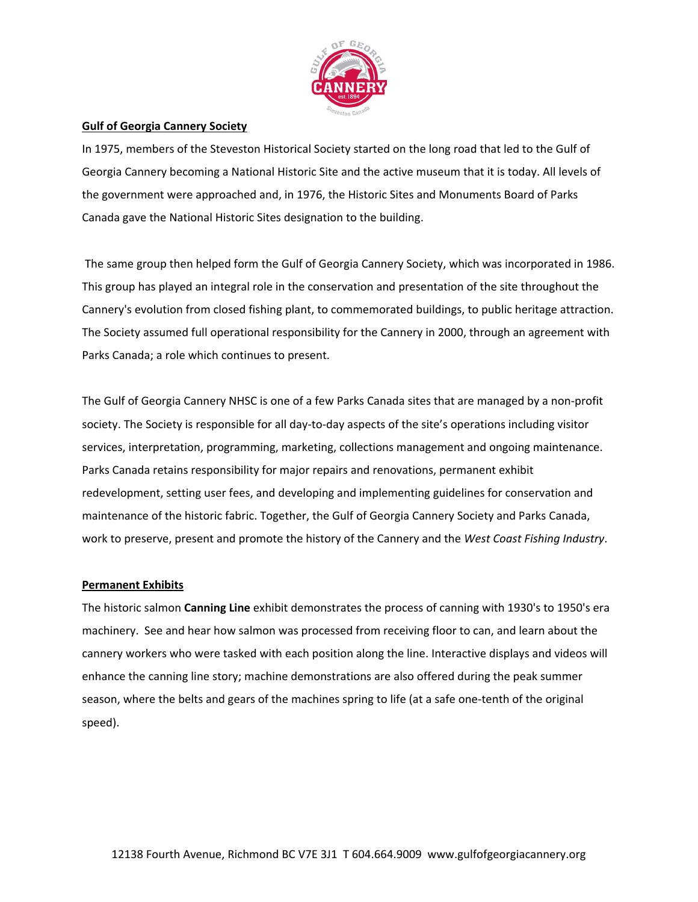

## **Gulf of Georgia Cannery Society**

In 1975, members of the Steveston Historical Society started on the long road that led to the Gulf of Georgia Cannery becoming a National Historic Site and the active museum that it is today. All levels of the government were approached and, in 1976, the Historic Sites and Monuments Board of Parks Canada gave the National Historic Sites designation to the building.

 The same group then helped form the Gulf of Georgia Cannery Society, which was incorporated in 1986. This group has played an integral role in the conservation and presentation of the site throughout the Cannery's evolution from closed fishing plant, to commemorated buildings, to public heritage attraction. The Society assumed full operational responsibility for the Cannery in 2000, through an agreement with Parks Canada; a role which continues to present.

The Gulf of Georgia Cannery NHSC is one of a few Parks Canada sites that are managed by a non‐profit society. The Society is responsible for all day-to-day aspects of the site's operations including visitor services, interpretation, programming, marketing, collections management and ongoing maintenance. Parks Canada retains responsibility for major repairs and renovations, permanent exhibit redevelopment, setting user fees, and developing and implementing guidelines for conservation and maintenance of the historic fabric. Together, the Gulf of Georgia Cannery Society and Parks Canada, work to preserve, present and promote the history of the Cannery and the *West Coast Fishing Industry*.

### **Permanent Exhibits**

The historic salmon **Canning Line** exhibit demonstrates the process of canning with 1930's to 1950's era machinery. See and hear how salmon was processed from receiving floor to can, and learn about the cannery workers who were tasked with each position along the line. Interactive displays and videos will enhance the canning line story; machine demonstrations are also offered during the peak summer season, where the belts and gears of the machines spring to life (at a safe one-tenth of the original speed).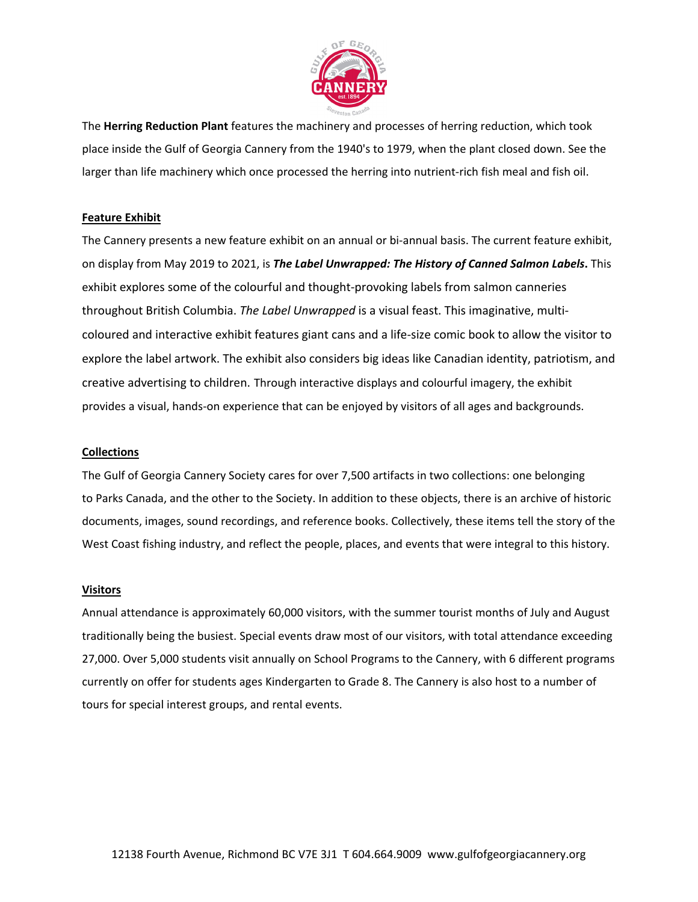

The **Herring Reduction Plant** features the machinery and processes of herring reduction, which took place inside the Gulf of Georgia Cannery from the 1940's to 1979, when the plant closed down. See the larger than life machinery which once processed the herring into nutrient-rich fish meal and fish oil.

## **Feature Exhibit**

The Cannery presents a new feature exhibit on an annual or bi‐annual basis. The current feature exhibit, on display from May 2019 to 2021, is *The Label Unwrapped: The History of Canned Salmon Labels***.** This exhibit explores some of the colourful and thought‐provoking labels from salmon canneries throughout British Columbia. *The Label Unwrapped* is a visual feast. This imaginative, multi‐ coloured and interactive exhibit features giant cans and a life‐size comic book to allow the visitor to explore the label artwork. The exhibit also considers big ideas like Canadian identity, patriotism, and creative advertising to children. Through interactive displays and colourful imagery, the exhibit provides a visual, hands‐on experience that can be enjoyed by visitors of all ages and backgrounds.

### **Collections**

The Gulf of Georgia Cannery Society cares for over 7,500 artifacts in two collections: one belonging to Parks Canada, and the other to the Society. In addition to these objects, there is an archive of historic documents, images, sound recordings, and reference books. Collectively, these items tell the story of the West Coast fishing industry, and reflect the people, places, and events that were integral to this history.

### **Visitors**

Annual attendance is approximately 60,000 visitors, with the summer tourist months of July and August traditionally being the busiest. Special events draw most of our visitors, with total attendance exceeding 27,000. Over 5,000 students visit annually on School Programs to the Cannery, with 6 different programs currently on offer for students ages Kindergarten to Grade 8. The Cannery is also host to a number of tours for special interest groups, and rental events.